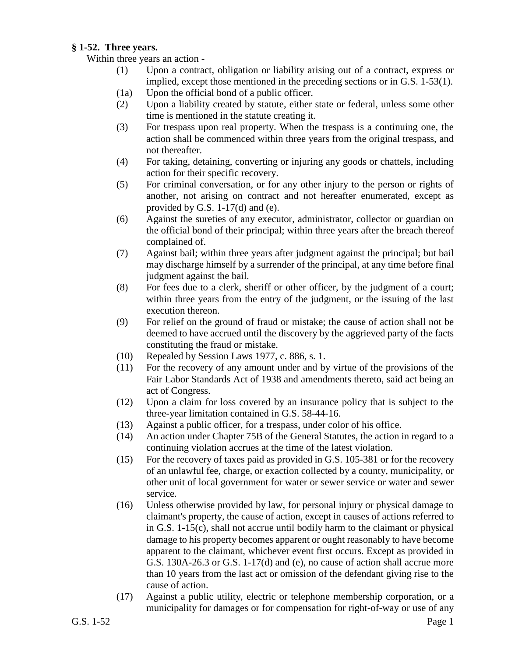## **§ 1-52. Three years.**

Within three years an action -

- (1) Upon a contract, obligation or liability arising out of a contract, express or implied, except those mentioned in the preceding sections or in G.S. 1-53(1).
- (1a) Upon the official bond of a public officer.
- (2) Upon a liability created by statute, either state or federal, unless some other time is mentioned in the statute creating it.
- (3) For trespass upon real property. When the trespass is a continuing one, the action shall be commenced within three years from the original trespass, and not thereafter.
- (4) For taking, detaining, converting or injuring any goods or chattels, including action for their specific recovery.
- (5) For criminal conversation, or for any other injury to the person or rights of another, not arising on contract and not hereafter enumerated, except as provided by G.S. 1-17(d) and (e).
- (6) Against the sureties of any executor, administrator, collector or guardian on the official bond of their principal; within three years after the breach thereof complained of.
- (7) Against bail; within three years after judgment against the principal; but bail may discharge himself by a surrender of the principal, at any time before final judgment against the bail.
- (8) For fees due to a clerk, sheriff or other officer, by the judgment of a court; within three years from the entry of the judgment, or the issuing of the last execution thereon.
- (9) For relief on the ground of fraud or mistake; the cause of action shall not be deemed to have accrued until the discovery by the aggrieved party of the facts constituting the fraud or mistake.
- (10) Repealed by Session Laws 1977, c. 886, s. 1.
- (11) For the recovery of any amount under and by virtue of the provisions of the Fair Labor Standards Act of 1938 and amendments thereto, said act being an act of Congress.
- (12) Upon a claim for loss covered by an insurance policy that is subject to the three-year limitation contained in G.S. 58-44-16.
- (13) Against a public officer, for a trespass, under color of his office.
- (14) An action under Chapter 75B of the General Statutes, the action in regard to a continuing violation accrues at the time of the latest violation.
- (15) For the recovery of taxes paid as provided in G.S. 105-381 or for the recovery of an unlawful fee, charge, or exaction collected by a county, municipality, or other unit of local government for water or sewer service or water and sewer service.
- (16) Unless otherwise provided by law, for personal injury or physical damage to claimant's property, the cause of action, except in causes of actions referred to in G.S. 1-15(c), shall not accrue until bodily harm to the claimant or physical damage to his property becomes apparent or ought reasonably to have become apparent to the claimant, whichever event first occurs. Except as provided in G.S. 130A-26.3 or G.S. 1-17(d) and (e), no cause of action shall accrue more than 10 years from the last act or omission of the defendant giving rise to the cause of action.
- (17) Against a public utility, electric or telephone membership corporation, or a municipality for damages or for compensation for right-of-way or use of any